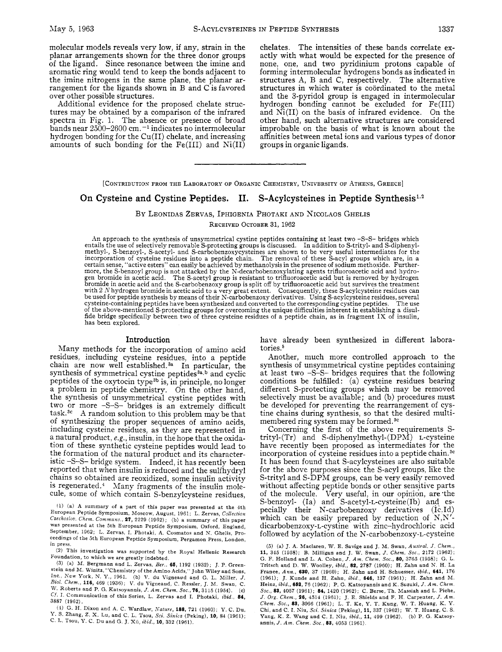molecular models reveals very low, if any, strain in the planar arrangements shown for the three donor groups of the ligan'd. Since resonance between the imine and aromatic ring would tend to keep the bonds adjacent to the imine nitrogens in the same plane, the planar arrangement for the ligands shown in B and C is favored over other possible structures.

Additional evidence for the proposed chelate structures may be obtained by a comparison of the infrared spectra in Fig. 1. The absence or presence of broad bands near **2500-2600** cm. **-l** indicates no intermolecular hydrogen bonding for the Cu(I1) chelate, and increasing amounts of such bonding for the  $Fe(III)$  and  $Ni(II)$  chelates. The intensities of these bands correlate exactly with what would be expected for the presence of none, one, and two pyridinium protons capable of forming intermolecular hydrogens bonds as indicated in structures **A,** B and C, respectively. The alternative structures in which water is coordinated to the metal and the 3-pyridol group is engaged in intermolecular hydrogen bonding cannot be excluded for Fe(II1) and Ni(I1) on the basis of infrared evidence. On the other hand, such alternative structures are considered improbable on the basis of what is known about the affinities between metal ions and various types of donor groups in organic ligands.

[CONTRIBUTION FROM THE LABORATORY OF ORGANIC CHEMISTRY, UNIVERSITY OF ATHENS, GREECE]

### **On Cysteine and Cystine Peptides. 11. S-Acylcysteines in Peptide Synthesis1,2**

### BY LEONIDAS ZERVAS, IPHIGENIA PHOTAKI AND NICOLAOS GHELIS

RECEIVED OCTOBER 31, 1962

An approach to the synthesis of unsymmetrical cystine peptides containing at least two -S-S- bridges which entails the use of selectively removable S-protecting groups is discussed. In addition to S-trityl- and S-diphenylmethyl-, S-benzoyl-, S-acetyl- and S-carbobenzoxycysteines are shown to be very useful intermediates for the incorporation of cysteine residues into a peptide chain. The removal of these S-acyl groups which are, in a certain sense, "active esters" can easily be achieved by methanolysis in the presence of sodium methoxide. Furthermore, the S-benzoyl group is not attacked by the N-decarbobenzoxylating agents trifluoroacetic acid and hydro-gen bromide in acetic acid. The S-acetyl group is resistant to trifluoroacetic acid but is removed by hydrogen bromide in acetic acid and the S-carbobenzoxy group is split off by trifluoroacetic acid but survives the treatment<br>with 2 N hydrogen bromide in acetic acid to a very great extent. Consequently, these S-acylcysteine res cysteine-containing peptides have been synthesized and converted to the corresponding cystine peptides. The use<br>of the above-mentioned S-protecting groups for overcoming the unique difficulties inherent in establishing a d fide bridge specifically between two of three cysteine residues of a peptide chain, as in fragment IX of insulin, has been explored.

### Introduction

Many methods for the incorporation of amino acid residues, including cysteine residues, into a peptide chain are now well established. $a^a$  In particular, the synthesis of symmetrical cystine peptides $a$ , b and cyclic peptides of the oxytocin type<sup>3b</sup> is, in principle, no longer a problem in peptide chemistry. On the other hand, the synthesis of unsymmetrical cystine peptides with two or more -S-S- bridges is an extremely difficult task.3c **A** random solution to this problem may be that of synthesizing the proper sequences of amino acids, including cysteine residues, as they are represented in a natural product, e.g., insulin, in the hope that the oxidation of these synthetic cysteine peptides would lead to the formation of the natural product and its characteristic -S-s- bridge system. Indeed, it has recently been reported that when insulin is reduced and the sulfhydryl chains SO obtained are reoxidized, some insulin activity is regenerated.4 Many fragments of the insulin molecule, some of which contain S-benzylcysteine residues,

**(1)** (a) A summary of a part *of* this paper was presented at the 4th European Peptide Symposium, Moscow, August, **1961** ; L. Zervas, *Collection Czechosiou. Chem. Commtriis.,* **27, 2229 (1962);** (b) a summary of this paper was presented at the 5th European Peptide Symposium, Oxford, England, September, **1962;** L. Zervas, I. Photaki, **A.** Cosmatos and N. Ghelis, Proceedings *of* the 5th European Peptide Symposium, Pergamon Press, London, in press.

**(2)** This investigation was supported by the Royal Hellenic Research Foundation, to which we are greatly indebted.

**(3)** (a) M. Bergmann and L. Zervas, *Bey.,* **66, 1192 (1932);** J. P. Greenstein and M. U'initz, "Chemistry of the Amino Acids," John Wiley and Sons, Inc., **New** York, N. *Y.,* **1961.** (b) V. du Vigneaud and G. L. Miller, *J. Bid. Chem.,* **116, 469 (1936);** V. du Vigneaud, C. Ressler, J. M. Swan, C. W. Roberts and P. G. Katsoyannis, *J. Am. Chem.* Soc., **76, 3115 (1954).** (c) *cf.* I. Communication of this Series, L. Zervas and I. Photaki, *ibid.,* **84, 3887 (1962).** 

(4) G. H. Dixon and A. C. Wardlaw, *Xature,* **188, 721 (1960);** *Y.* C. **Du,**  Y. S. Zhang, 2. **X. Lu,** and C. L. Tsou, *Sci. Sinica* (Peking), **10, 84 (1961);**  c. I-. **Tsou,** *Y. C.* Du and G. J. Xu, *ibid.,* **10, 332 (1961).**  have already been synthesized in different laboratories.<sup>5</sup>

Another, much more controlled approach to the synthesis of unsymmetrical cystine peptides containing at least two -S-S- bridges requires that the following conditions be fulfilled:  $(a)$  cysteine residues bearing different S-protecting groups which may be removed selectively must be available; and (b) procedures must be developed for preventing the rearrangement of cystine chains during synthesis, so that the desired multimembered ring system may be formed.<sup>3c</sup>

Concerning the first of the above requirements Strityl-(Tr) and S-diphenylmethyl-(DPM) L-cysteine have recently been proposed as intermediates for the incorporation of cysteine residues into a peptide chain.<sup>3c</sup> It has been found that S-acylcysteines are also suitable for the above purposes since the S-acyl groups, like the S-trityl and S-DPM groups, can be very easily removed without affecting peptide bonds or other sensjtive parts of the molecule. Very useful, in our opinion, are the S-benzoyl- (Ia) and S-acetyl-L-cysteine(Ib) and especially their N-carbobenzoxy derivatives (1c.Id) which can be easily prepared by reduction of N,N' dicarbobenzoxy-L-cystine with zinc-hydrochloric acid followed by acylation of the **N-carbobenzoxy-L-cysteine** 

*(5)* (a) J. A. Maclaren, W. E. Savige and J. M. Swan, *Austral. J. Chem.,*  **11, 345 (1958);** B. Milligan and J. W. Swan, *J. Chem.* Soc., **2172 (1962);**  G. **F.** Holland and L. A. Cohen, *J. Am. Chem.* Sac., **80, 3765 (1958);** G. L. Tritsch and *D.* W, Woolley, *ibid.,* **82, 2787 (1960);** H. Zahn and **N.** H. La France, *Ann.,* **630, 37 (1960);** H. Zahn and H. Schuesser, *ibid.,* **641, 176 (1961); J.** Kunde and H. Zahn, *ibid.,* **646, 137 (1961);** H. Zahn and M. Heinz, *ibid.,* **662, 76 (1962);** P. G. Katsoyannis and K. Suzuki, *J. Am. Chem. Soc.,* **83, 4057 (1961); 84, 1420 (1962);** C. Berse, Th. Massiah and L. Piche, *J. Ovg. Chem.,* **26, 4514 (1961);** J. E. Shields and F. H. Carpenter, *J. Am. Chem.* Soc., **83, 3066 (1961);** L. **T.** Ke, *Y.* T. Kung, W. T. Huang, K. *Y.*  Chi, and C. I. Kiu, *Sci. Sinica* (Peking), **11, 337 (1962);** W. **T.** Huang, C. S. Yang, K. *2.* Wang and *C.* I. **Nu,** *ibid.,* **11, 499 (1962).** (b) P. *G.* Katsoyannis, *J. Am. Chem. Soc.*, **83**, 4053 (1961).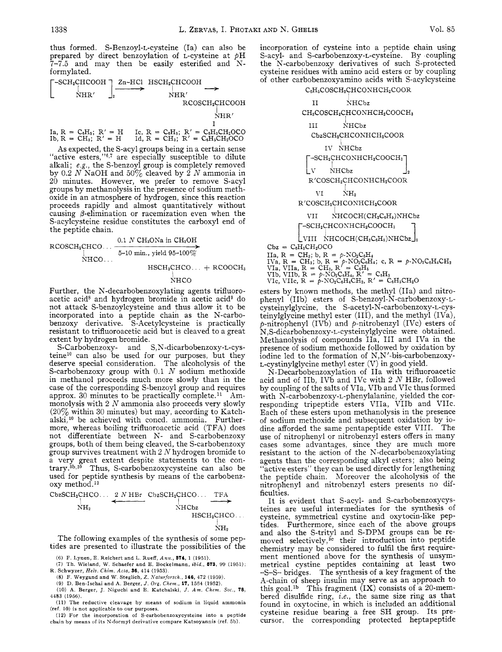thus formed. S-Benzoyl-L-cysteine (Ia) can also be prepared by direct benzoylation of L-cysteine at  $pH$ 7-7.5 and may then be easily esterified and Nformylated.

Formylated.<br>  $\begin{CD} \begin{array}{ccc}\n-SCH_2CHCOOH \\
\downarrow \\
\downarrow\n\end{array} & \begin{CD} \text{Zn-HCl} & \text{HSCH}_2CHCOOH \\
\downarrow \\
\downarrow\n\end{CD} \longrightarrow & \begin{CD} \text{MR}^{\prime} & \longrightarrow \\
\downarrow\n\end{CD} \end{CD}$ .<br>NHR′  $NHR'$ RCOSCHzCHCOOH I

Ia,  $R = C_6H_6$ ;  $R' = H$  Ic,  $R = C_6H_6$ ;  $R' = C_6H_6CH_2OCO$ <br>
Ib,  $R = CH_3$ ;  $R' = H$  Id,  $R = CH_3$ ;  $R' = C_6H_6CH_2OCO$ 

As expected, the S-acyl groups being in a certain sense "active esters," $6,7$  are especially susceptible to dilute alkali; **e.g.,** the S-benzoyl group is completely removed by 0.2 *N* NaOH and *SOYo* cleaved by 2 *N* ammonia in 20 minutes. However, we prefer to remove S-acyl groups by methanolysis in the presence of sodium methoxide in an atmosphere of hydrogen, since this reaction proceeds rapidly and almost quantitatively without causing  $\beta$ -elimination or racemization even when the S-acylcysteine residue constitutes the carboxyl end of the peptide chain.

$$
\begin{array}{r}\n 0.1 \text{ } N \text{ } CH_3\text{O} \text{Na} \text{ in } CH_4\text{OH} \\
 \downarrow \text{NHCO} \dots \xrightarrow{\text{D-I0 min.}, \text{ yield } 95-100\%} \\
 \text{NHCO} \dots \xrightarrow{\text{HSCH}_2 \text{CHCO} \dots \xrightarrow{\text{HSCO} \text{CH}_3} \text{HSCO} \dots \xrightarrow{\text{CFOOCH}_3}\n \end{array}
$$

# NHCO

Further, the N-decarbobenzoxylating agents trifluoroacetic acid<sup>8</sup> and hydrogen bromide in acetic acid<sup>9</sup> do not attack S-benzoylcysteine and thus allow it to be incorporated into a peptide chain as the N-carbobenzoxy derivative. S-Acetylcysteine is practically resistant to trifluoroacetic acid but is cleaved to a great extent by hydrogen bromide.

S-Carbobenzoxy- and S,N-dicarbobenzoxy-L-cysteine<sup>10</sup> can also be used for our purposes, but they deserve special consideration. The alcoholysis of the S-carbobenzoxy group with 0.1 *N* sodium methoxide in methanol proceeds much more slowly than in the case of the corresponding S-benzoyl group and requires approx. 30 minutes to be practically complete.<sup>11</sup> Ammonolysis with *2 N* ammonia also proceeds very slowly *(20yo* within 30 minutes) but may, according to Katchalski,<sup>10</sup> be achieved with concd. ammonia. Furthermore, whereas boiling trifluoroacetic acid (TFA) does not differentiate between N- and S-carbobenzoxy groups, both of them being cleaved, the S-carbobenzoxy group survives treatment with 2 N hydrogen bromide to a very great extent despite statements to the contrary.<sup>5b,10</sup> Thus, S-carbobenzoxycysteine can also be used for peptide synthesis by means of the carbobenzoxy method.<sup>12</sup>

CbzSCH2CHCO. . . **2** *A;* HBr CbzSCHzCHCO.. . TFA **t-** I **d**  SHCbz I NHz HSCHzCHCO. . . I h"2

The following examples of the synthesis of some peptides are presented to illustrate the possibilities of the

*(6)* **F. Lynen,** E. **Reichert and** L. **Rueff,** *Anit.,* **574,** 1 (1951).

**(7) Th. Wieland,** W. **Schaefer and E. Bockelmann,** *ibid.,* **673,** 99 (1951); **K. Schwyzer,** *Heiv. Chim. Acta,* **36,** 414 (1953).

(8) F. **Weygand and W. Steglich,** *2. i'iatuvfovsch.,* **146,** 472 (1959).

(9) D. **Ben-Ischai and A. Berger,** *J. Ovg. Chem.,* **17,** 1564 (1952).

**(10) A. Berger, J. Niguchi and** E. **Katchalski,** *J. Am. Chem. Soc.,* **78,**  4483 (1956).

(11) **The reductive cleavage by means of sodium in liquid ammonia (ref.** 10) **is not applicable to our purposes.** 

(12) For **the incorporation of S-carbobenzoxycysteine into a peptide chain by means of its N-formyl derivative compare Katsoyannis (ref. 5b).** 

incorporation of cysteine into a peptide chain using S-acyl- and **S-carbobenzoxy-L-cysteine.** Ry coupling the N-carbobenzoxy derivatives of such S-protected cysteine residues with amino acid esters or by coupling of other carbobenzoxyamino acids with S-acylcysteine

## C<sub>s</sub>H<sub>5</sub>COSCH<sub>2</sub>CHCONHCH<sub>2</sub>COOR

| H<br>NHCbz                                                                                                                                                                                                                                               |
|----------------------------------------------------------------------------------------------------------------------------------------------------------------------------------------------------------------------------------------------------------|
| CH <sub>3</sub> COSCH <sub>2</sub> CHCONHCH <sub>2</sub> COOCH <sub>3</sub>                                                                                                                                                                              |
| NHCbz<br>ш                                                                                                                                                                                                                                               |
| CbzSCH2CHCONHCH2COOR                                                                                                                                                                                                                                     |
| IV NHC <sub>bz</sub>                                                                                                                                                                                                                                     |
| -SCH2CHCONHCH2COOCH3                                                                                                                                                                                                                                     |
| <b>NHC<sub>bz</sub></b><br>$^{2}$                                                                                                                                                                                                                        |
| R'COSCH2CHCONHCH2COOR                                                                                                                                                                                                                                    |
| NH,<br>VI —                                                                                                                                                                                                                                              |
| R'COSCH2CHCONHCH2COOR                                                                                                                                                                                                                                    |
| $NHCOCH(CH_2C_6H_5)NHCb$<br>VII —                                                                                                                                                                                                                        |
| --SCH2CHCONHCH2COOCH3                                                                                                                                                                                                                                    |
| VIII $N \text{HCOCH}(\text{CH}_2\text{C}_6\text{H}_5) \text{NHCbz}_2$                                                                                                                                                                                    |
| $Cbz = C6H5CH2OCO$                                                                                                                                                                                                                                       |
| IIa, R = CH <sub>3</sub> ; b, R = $p$ -NO <sub>2</sub> C <sub>6</sub> H <sub>4</sub><br>IVa, R = CH <sub>3</sub> ; b, R = $p$ -NO <sub>2</sub> C <sub>6</sub> H <sub>4</sub> ; c, R = $p$ -NO <sub>2</sub> C <sub>6</sub> H <sub>4</sub> CH <sub>2</sub> |
|                                                                                                                                                                                                                                                          |

esters by known methods, the methyl (IIa) and nitrophenyl (Ilb) esters of S-benzoyl-N-carbobenzoxy-Lcysteinylglycine, the S-acetyl-N-carbobenzoxy-L-cysteinylglycine methyl ester (111), and the methyl (IVa),  $p$ -nitrophenyl (IVb) and  $p$ -nitrobenzyl (IVc) esters of **N,S-dicarbobenzoxy-L-cysteinylglycine** were obtained. Methanolysis of compounds IIa, 111 and IVa in the presence of sodium methoxide followed by oxidation by iodine led to the formation of N,N'-bis-carbobenzoxy-L-cystinylglycine methyl ester  $(V)$  in good yield.

N-Decarbobenzoxylation of IIa with trifluoroacetic acid and of IIb, IVb and IVc with 2 *N* HBr, followed by coupling of the salts of VIa, VIb and VIc thus formed with **N-carbobenzoxy-L-phenylalanine,** yielded the corresponding tripeptide esters VIIa, VIIb and VIIc. Each of these esters upon methanolysis in the presence of sodium methoxide and subsequent oxidation by iodine afforded the same pentapeptide ester VIII. The use of nitrophenyl or nitrobenzyl esters offers in many cases some advantages, since they are much more resistant to the action of the N-decarbobenzoxylating agents than the corresponding alkyl esters; also being active esters" they can be used directly for lengthening the peptide chain. Moreover the alcoholysis of the nitrophenyl and nitrobenzyl esters presents no difficulties.

It is evident that S-acyl- and S-carbobenzoxycysteines are useful intermediates for the synthesis of cysteine, symmetrical cystine and oxytocin-like peptides. Furthermore, since each of the above groups and also the S-trityl and S-DPM groups can be removed selectively,<sup>3c</sup> their introduction into peptide chemistry may be considered to fulfil the first requirement mentioned above for the synthesis of unsymmetrical cystine peptides containing at least two -S-S- bridges. The synthesis of a key fragment of the A-chain of sheep insulin may serve as an approach to this goal.<sup>1b</sup> This fragment  $(IX)$  consists of a 20-membered disulfide ring, *i.e.,* the same size ring as that found in oxytocine, in which is included an additional cysteine residue bearing a free SH group. Its precursor, the corresponding protected heptapeptide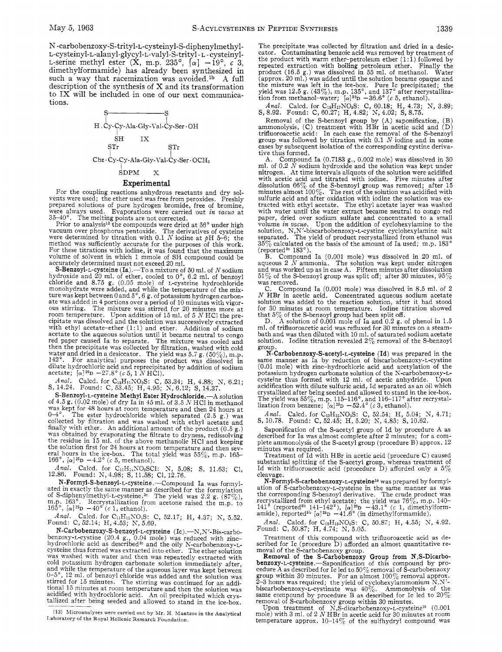N -carbobenzoxy-S-trityl-L-cysteinyl-S-diphenylmethyl-**L-cysteinyl-L-alanyl-glycyl-L-valyl-S-trityl-** L - cysteinyl-L-serine methyl ester  $(X, m.p. 235^{\circ}, \lceil \alpha \rceil -19^{\circ}, c^3)$ dimethylformamide) has already been synthesized in such a way that racemization was avoided.<sup>1b</sup> A full description of the synthesis of X and its transformation to  $IX$  will be included in one of our next communications.



### **Experimental**

For the coupling reactions anhydrous reactants and dry solvents were used; the ether used was free from peroxides. Freshly prepared solutions of pure hydrogen bromide, free of bromine, were always used. Evaporations were carried out *in vacuo* at

 $35-40^{\circ}$ . The melting points are not corrected.<br>Prior to analysis<sup>13</sup> the compounds were dried at 56° under high<br>vacuum over phosphorus pentoxide. The derivatives of cysteine<br>were determined by titration with 0.1 N iod method was sufficiently accurate for the purposes of this work. For these titrations with iodine, it was found that the maximum volume of solvent in which 1 mmole of SH compound could be accurately determined must not exceed 20 ml.

**S-Benzoyl-L-cysteine (Ia).**—To a mixture of 50 ml. of N sodium hydroxide and 20 ml. of ether, cooled to 0°, 6.2 ml. of benzoyl chloride and 8.75 g. (0.05 mole) of L-cysteine hydrochloride monohydrate were added, and whil ture was kept between 0 and  $5^{\circ}$ , 6 g. of potassium hydrogen carbon-<br>ate was added in 4 portions over a period of 10 minutes with vigor-<br>ous stirring. The mixture was stirred for 20 minutes more at<br>room temperature. Up cipitate was dissolved and the solution was successively extracted with ethyl acetate-ether  $(1:1)$  and ether. Addition of sodium acetate to the aqueous solution until it became neutral to congo red paper caused Ia to separate. The mixture was cooled and then the precipitate was collected by filtration, washed with cold water and dried in a desiccator. The yield was  $5.7$  g.  $(50\%)$ , m.p. 142°. For analytical purposes the product was dissolved in dilute hydrochloric acid and reprecipitated by addition of sodium<br>acetate;  $\left[ \alpha \right] {}^{26}{\rm D}$   $-27.8\degree$  (*c* 5, 1 *N* HCl).

*Anal.* Calcd. for C<sub>19</sub>H<sub>11</sub>NO<sub>3</sub>S: C, 53.34; H, 4.88; N, 6.21; S, 14.24. Found: C, 53.45; H, 4.95; N, 6.12; S, 14.37.

S-Benzoyl-L-cysteine Methyl Ester Hydrochloride.—A solution of 4.5 g. (0.02 mole) of dry Ia in 45 ml. of 3.5 N HCl in methanol of **4.5** g. (0.02 mole) of dry Ia in **45** ml. of 3.5 *<sup>N</sup>*HCl in methanol was kept for 48 hours at room temperature and then 24 hours at  $0\text{--}4^\circ$ . The ester hydrochloride which separated (2.5 g.) was collected by filtration and was washed with ethyl acetate and finally with ether. An additional amount of the product (0.5 g.) was obtained by evaporating the filtrate to dryness, redissolving the residue in 15 ml. of the above methanolic HC1 and keeping the solution first for 24 hours at room temperature and then several hours in the ice-box. The total yield was 55%, m.p. 165–<br>166°, [a]<sup>25</sup>D -4.2° *(c* 5, methanol).

*Anal.* Calcd. for C<sub>11</sub>H<sub>14</sub>NO<sub>3</sub>SCI: N, 5.08; S, 11.63; Cl, 12.86. Found: N, 4.98; S, 11.58; C1, 12.76.

N-Formyl-S-benzoyl-L-cysteine.--Compound Ia was formylated in exactly the same manner as described for the formylation<br>of S-diphenylmethyl-L-cysteine.<sup>3</sup>° The yield was 2.2 g. (87%),<br>m.p. 163°. Recrystallization from acetone raised the m.p. to<br>165°, [ $\alpha$ ]<sup>25</sup>D -40° (*c* 1,

Anal. Calcd. for C<sub>11</sub>H<sub>11</sub>NO<sub>4</sub>S: C, 52.17; H, 4.37; N, 5.52. Found: **C**, 52.14; **H**, 4.53; **N**, 5.69.

N-Carbobenzoxy-S-benzoyl-L-cysteine  $(It)$ .-N,N'-Bis-carbobenzoxy-L-cystine (20.4 g., 0.04 mole) was reduced with zinc-hydrochloric acid as described3c and the oily N-carbobenzoxy-Lcysteine thus formed was extracted into ether. The ether solution was washed with water and then was repeatedly extracted with cold potassium hydrogen carbonate solution immediately after, and while the temperature of the aqueous layer was kept between *0-5",* 12 ml. of benzoyl chloride was added and the solution was stirred for 15 minutes. The stirring was continued for an additional 15 minutes at room temperature and then the solution was acidified with hydrochloric acid. An oil precipitated which crys- tallized after being seeded and allowed to stand in the ice-box.

The precipitate was collected by filtration and dried in a desiccator. Contaminating benzoic acid was removed by treatment of the product with warm ether-petroleum ether (1:1) followed by repeated extraction with boiling petroleum ether. Finally the product (16.5 g.) was dissolved in 55 ml. of methanol. Water (approx. 20 ml.) was added until the solution became opaque and the mixture was left in the ice-box. Pure Ic precipitated; the yield was 12.5 g.  $(43\%)$ , m.p. 135°, and 137° after recrystallization from methanol-water;  $[\alpha]^{52}D -36.6^{\circ}$  *(c 5, ethanol).* 

*Anal.* Calcd. for C<sub>18</sub>H<sub>17</sub>NO<sub>6</sub>S: C, 60.18; H, 4.73; N, 3.89; S, 8.92. Found: C, 60.27; H, 4.82; N, 4.02; S, 8.75.

Removal of the S-benzoyl group by **(A)** saponification, (B) ammonolysis, (C) treatment with HBr in acetic acid and (D) trifluoroacetic acid: In each case the removal of the S-benzoyl group was followed by titration with 0.1 *N* iodine and in some cases by subsequent isolation of the corresponding cystine derivative thus formed.

A. Compound Ia  $(0.7183 \text{ g}., 0.002 \text{ mole})$  was dissolved in 30 ml. of 0.2  $N$  sodium hydroxide and the solution was kept under nitrogen. At time intervals aliquots of the solution were acidified with acetic acid and titrated with iodine. Five minutes after dissolution  $66\%$  of the S-benzoyl group was removed; after 15 minutes almost  $100\%$ . The rest of the solution was acidified with suffuric acid and after oxi paper, dried over sodium sulfate and concentrated to a small<br>volume *in vacuo*. Upon the addition of cyclohexylamine to the<br>solution, N,N'-bisearbobenzoxy-L-cystine cyclohexylamine salt<br>separated. The yield of product rec  $35\%$  calculated on the basis of the amount of Ia used; m.p.  $183^{\circ}$  (reported<sup>3c</sup> 183°).

B. Compound Ia (0.001 mole) was dissolved in 20 ml. of aqueous 2 *N* ammonia. The solution was kept under nitrogen and was worked up as in case A. Fifteen minutes after dissolution  $51\%$  of the S-benzoyl group was split off; after 30 minutes,  $95\%$  was removed.

C. Compound Ia (0.001 mole) was dissolved in 8.5 ml. of 2 <br>N HBr in acetic acid. Concentrated aqueous sodium acetate solution was added to the reaction solution, after it had stood for 30 minutes at room temperature. Iodine titration showed

that 5% of the S-benzoyl group had been split off, A solution of 0.001 mole of Ia and 0.2 g. of phenol in 1.5 D. ml. of trifluoroacetic acid was refluxed for 30 minutes on a steambath and was then diluted with 10 ml. of saturated sodium acetate solution. Iodine titration revealed  $2\%$  removal of the S-benzoyl

group.<br>N-Carbobenzoxy-S-acetyl-L-cysteine (Id) was prepared in the same manner as Ia by reduction of biscarbobenzoxy-L-cystine (0.01 mole) with zinc-hydrochloric acid and acetylation of the potassium hydrogen carbonate solution of the K-carbobenzoxy-Lcysteine thus formed with 12 ml. of acetic anhydride. Upon acidification with dilute sulfuric acid, Id separated as an oil which crystallized after being seeded and allowed to stand in the ice-box.<br>The yield was  $55\%, \text{ m.p. }115-116^\circ$ , and  $116-117^\circ$  after recrystallization from benzene;  $[\alpha]^{25}\text{p} - 52.4^\circ$  (c 3, ethanol).

*Anal.* Calcd. for C<sub>13</sub>H<sub>15</sub>NO<sub>6</sub>S: C, 52.54; H, 5.04; N, 4.71; S, 10.78. Found: C, 52.45; H, 5.20; N, 4.85; S, 10.62.

Saponification of the S-acetyl group of Id by procedure A as described for Ia was almost complete after 2 minutes; for a com- plete ammonolysis of the S-acetyl group (procedure B) approx. 12 minutes was required.

Treatment of Id with HBr in acetic acid (procedure C) caused substantial splitting of the S-acetyl group, whereas treatment of Id with trifluoroacetic acid (procedure D) afforded only a *5%*  cleavage.

**N-Formyl-S-carbobenzoxy-L-cysteinel%** was prepared by formylation of S-carbobenzoxy-L-cysteine in the same manner as was the corresponding S-benzoyl derivative. The crude product was recrystallized from ethyl acetate; the yield was 76%, m.p. **140-**  141' (reportedsb 141-142'), *[a]25D* -43.1' (c 1, dimethylformamide), reported<sup>sb</sup>  $[\alpha]^{25}D - 41.6^{\circ}$  (in dimethylformamide).

*Anal.* Calcd. for C<sub>12</sub>H<sub>13</sub>NO<sub>5</sub>S: C, 50.87; H, 4.55; N, 4.92. Found: C, 50.87; H, 4.74; N, 5.05.

Treatment of this compound with trifluoroacetic acid as described for Ic (procedure D) afforded an almost quantitative re-<br>moval of the S-carbobenzoxy group.

Removal of the S-Carbobenzoxy Group from N,S-Dicarbo**benzoxy-L-cysteine.-Saponification** of this compound by procedure **A** as described for IC led to 50% removal of S-carbobenzoxy group within 30 minutes. For an almost  $100\%$  removal approx.  $2-3$  hours was required; the yield of cyclohexylammonium  $N, N'-$ biscarbobenzoxy-L-cystinate was  $40\%$ . Ammonolysis of the same compound by procedure B as described for IC led to 20%

removal of S-carbobenzoxy group within 30 minutes.<br>Upon treatment of N,S-dicarbobenzoxy-L-cysteine<sup>10</sup> (0.001<br>nole) with 3 ml. of 2 N HBr in acetic acid for 30 minutes at room<br>temperature approx.  $10\negthinspace -\negthinspace 14\%$  of the

 $(13)$  Microanalyses were carried out by Mr. H. Mantzos in the Analytical **<sup>I</sup>**aboratory of the Royal Hellenic Research Foundation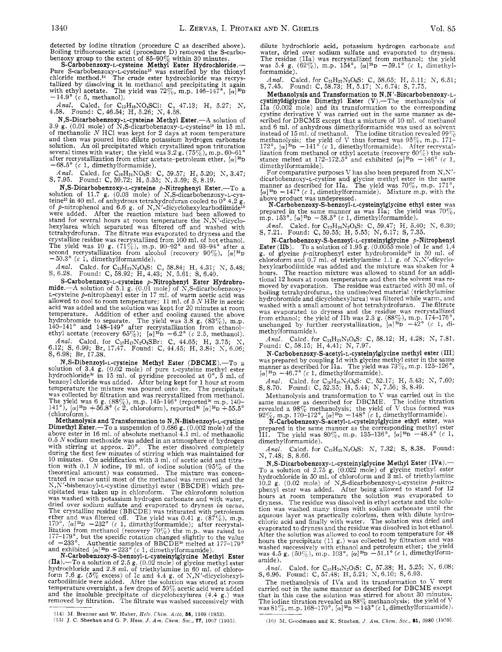detected by iodine titration (procedure C as described above). Boiling trifluoroacetic acid (procedure D) removed the S-carbo-<br>benzoxy group to the extent of 85-90% within 30 minutes.<br>S-Carbobenzoxy-L-cysteine Methyl Ester Hydrochloride.

Pure S-carbobenzoxy-L-cysteine<sup>10</sup> was esterified by the thionyl chloride method.<sup>14</sup> The crude ester hydrochloride was recrystallized by dissolving it in methanol and precipitating it again with ethyl acetate. The yield was  $72\%$ , m.p.  $146-147^{\circ}$ ,  $[\alpha]^{20}$ D  $-14.9^{\circ}$  (c 5, methanol).

*Anal.* Calcd. for C<sub>12</sub>H<sub>16</sub>NO<sub>4</sub>SC1: C, 47.13; H, 5.27; N, 4.58. Found: C, 46.54; H, 5.26; N, 4.58.

**N,S-Dicarbobenzoxy-L-cysteine Methyl Ester.**--A solution of 3.9 g. (0.01 mole) of N,S-dicarbobenzoxy-L-cysteine<sup>10</sup> in 15 ml.<br>of methanolic *N* HCl was kept for 2 days at room temperature and then was poured into dilute potassium hydrogen carbonate solution. An oil precipitated which crystallized upon trituration<br>several times with water; the yield was 3.2 g. (75%), m.p. 60–61°<br>after recrystallization from ether acetate–petroleum ether, *[*a]<sup>20</sup>D  $-68.5^{\circ}$  (c 1, dimethylformamide).

*Anal.* Calcd. for C<sub>20</sub>H<sub>21</sub>NO<sub>6</sub>S: C, 59.57; H, 5.20; *N*, 3.47; *S,* 7.95. Found: C,59.72; H, 5.35; X,3.59; S,8.19.

**N,S-Dicarbobenzoxy-L-cysteine** p-Nitrophenyl Ester.-To a solution of 11.7 g. (0.03 mole) of S,S-dicarbobenzoxy-L-cysteine<sup>10</sup> in 40 ml. of anhydrous tetrahydrofuran cooled to  $0^{\circ}$  4.2 g. of p-nitrophenol and 6.6 g. of **N,N'-dicyclohexylcarbodiimide15** were added. After the reaction mixture had been allowed to were added. After the reaction mixture had been allowed to stand for several hours at room temperature the N,N'-dicyclohexylurea which separated was filtered off and washed with tetrahydrofuran. The filtrate was evaporated to dryness and the crystalline residue was recrystallized from 100 ml. of hot ethanol.<br>The yield was 10 g. (71%), m.p. 90–92° and 93–94° after a<br>second recrystallization from alcohol (recovery 90%),  $[\alpha]^{25}D$ <br>-50.3° (c 1, dimethylformamide

*Anal.* Calcd. for C<sub>23</sub>H<sub>22</sub>N<sub>2</sub>O<sub>8</sub>S: C, 58.84; H, 4.31; N, 5.48; S, 6.28. Found: C, 58.92; H, 4.43; N, 5.61; S, 6.40.

S-Carbobenzoxy-L-cysteine  $p$ -Nitrophenyl Ester Hydrobro-<br>mide.—A solution of 5.1 g. (0.01 mole) of N,S-dicarbobenzoxy-L-cysteine p-nitrophenyl ester in 17 ml. of warm acetic acid was allowed to cool to room temperature; 11 ml. of *5 N* HBr in acetic acid was added and the solution was kept for 20 minutes at room temperature. Addition of ether and cooling caused the above hydrobromide to separate. The yield was 3.8 g. (83%), m.p. 140-141' and 148-149" after recrystallization from ethanolethyl acetate (recovery  $65\%$ );  $[\alpha]^{25}$ D  $-6.2^{\circ}$  (c 2.5, methanol).

*Anal.* Calcd. for C<sub>17</sub>H<sub>17</sub>N<sub>2</sub>O<sub>6</sub>SBr: C, 44.65; H, 3.75; N, 6.12; S, 6.99; Br, 17.47. Found: C, 44.45; H, 3.84; N, 6.06; S, 6.98; Br, 17.38.

**N,S-Dibenzoyl-r-cysteine** Methyl Ester (DBCME).-To a solution of 3.4 g. (0.02 mole) of pure L-cysteine methyl ester hydrochloride<sup>3</sup> in 15 ml. of pyridine precooled at  $0^{\circ}$ , 5 ml. of benzoyl chloride was added. After being kept for 1 hour at room temperature the mixture was poured onto ice. The precipitate was collected by filtratio The yield was 6 g. (88%), m.p. 145–146° (reported<sup>3c</sup> m.p. 140–<br>141°), *[a]<sup>25</sup>D +*56.8° *(c* 2, chloroform), reported<sup>3c</sup> *[a]*<sup>25</sup>D +55.5° (chloroform).

Methanolysis and Transformation to N,N-Bisbenzoyl-L-cystine Dimethyl Ester.-To a suspension of 0.686 g. (0.002 mole) of the above ester in 16 ml. of absolute methanol 4.1 ml. of methanolic 0.5 *N* sodium methoxide was added in an atmosphere of hydrogen with stirring at approx. 20". The ester dissolved completely during the first few minutes of stirring which was maintained for 10 minutes. On acidification with 3 ml. of acetic acid and titra-tion with 0.1 *N* iodine, 19 ml. of iodine solution (95% of the theoretical amount) was consumed. The mixture was concentrated *in vacuo* until most of the methanol was removed and the  $N, N'$ -bisbenzoyl-L-cystine dimethyl ester (BBCDE) which precipitated was taken up in chloroform. The chloroform solution was washed with potassium hydrogen carbonate and with water, dried over sodium sulfate and evaporated to dryness *in vacuo.*  The crystalline residue (BBCDE) was triturated with petroleum ether and was filtered off. The yield was 0.41 g.  $(87\%)$ , m.p.<br>170°,  $[\alpha]^{2b}D -232^{\circ}$  (*c* 1, dimethylformamide); after recrystal-<br>lization from methanol (recovery 70%) the m.p. was raised to<br>177–179°, but the specific

hydrochloride and 2.8 ml. of triethylamine in 60 ml. of chloro-form 7.6 g. (5% excess) of IC and 4.4 g. of S,N'-dicyclohexylcarbodiimide were added. After the solution was stored at room<br>temperature overnight, a few drops of 50 $\%$  acetic acid were added and the insoluble precipitate of dicyclohexylurea  $(4.4 \text{ g.})$  was removed by filtration. The filtrate was washed successively with

dilute hydrochloric acid, potassium hydrogen carbonate and water, dried over sodium sulfate and evaporated to dryness.<br>The residue (IIa) was recrystallized from methanol; the yield was 5.4 g.  $(62\%)$ , m.p. 154°, *[a]<sup>25</sup>p* -59.1° *(c* 1, dimethylformamide).

Anal. Calcd. for C<sub>21</sub>H<sub>22</sub>N<sub>2</sub>O<sub>6</sub>S: C, 58.65; H, 5.11; N, 6.51; S, 7.45. Found: C, 58.73; H, 5.17; N, 6.74; S, 7.75.

Methanolysis and Transformation to N,N'-Biscarbobenzoxy-Lcystinyldiglycine Dimethyl Ester (V).-The methanolysis of IIa  $(0.002 \text{ mole})$  and its transformation to the corresponding cystine derivative V was carried out in the same manner as described for DBCME except that a mixture of 10 ml. of methanol and 6 ml. of anhydrous dimethylformamide was used as solvent instead of 15 ml. of methanol. The iodine titration revealed  $99\%$ instead of 15 ml. of methanol. The iodine titration revealed  $99\%$ methanolysis; the yield of V thus formed was  $95\%$ , m.p.  $171-172^{\circ}$ ,  $[\alpha]^{25}D -141^{\circ}$  (*c* 1, dimethylformamide). After recrystal-<br>lization from methanol or ethyl acetate (recovery 60%) the substance melted at  $172$ dimethylformamide).

For comparative purposes V has also been prepared from  $N, N'$ dicarbobenzosy-L-cystine and glycine methyl ester in the same manner as described for IIa. The yield was *70%,* m.p. 17l0,  $[\alpha]^{25}D - 147^{\circ}$  *(c 1, dimethylformamide).* Mixture m.p. with the

above product was undepressed.<br>
N-Carbobenzoxy-S-benzoyl-L-cysteinylglycine ethyl ester was prepared in the same manner as was IIa; the yield was  $70\%$ , m.p.  $153^\circ$ ,  $[\alpha]^{25}D - 58.5^\circ$  (c 1, dimethylformamide).

*Anal.* Calcd. for C<sub>22</sub>H<sub>24</sub>N<sub>2</sub>O<sub>6</sub>S: C, 59.47; H, 5.40; N, 6.30; S, 7.21. Found: C, 59.55; H, 5.55; N, 6.17; S, 7.35.

**N-Carbobenzoxy-S-benzoyl-L-cysteinylglycine** p-Nitrophenyl **Ester (IIb).** To a solution of 1.95 g.  $(0.0055 \text{ mole})$  of Ic and 1.4 g. of glycine  $p$ -nitrophenyl ester hydrobromide<sup>16</sup> in 50 ml. of chloroform and 0.7 ml. of triethylamine 1.1 g. of N,N'-dicyclohexylcarbodiimide was added and the mixture was shaken for 4 hours. The reaction mixture was allowed to stand for an addi-The reaction mixture was allowed to stand for an additional 12 hours at room temperature and then the solvent was re- moved by evaporation. The residue was extracted with 30 ml. of boiling tetrahydrofuran, the undissolved material (triethylamine hydrobromide and dicyclohexylurea) was filtered while warm, and washed with a small amount of hot tetrahydrofuran. The filtrate was evaporated to dryness and the residue was recrystallized<br>from ethanol; the yield of IIb was 2.3 g. (88%), m.p. 174-176°,<br>unchanged by further recrystallization, *[a]*<sup>36</sup>D -42° *(c* 1, dimethylformamide).

*Anal.* Calcd. for C<sub>26</sub>H<sub>23</sub>N<sub>3</sub>O<sub>8</sub>S: C, 58.12; H, 4.28; N, 7.81. Found: C, 58.15; H, 4.41; N, 7.97.

**N-Carbobenzoxy-S-acetyl-L-cysteinylglycine** methyl ester (111) was prepared by coupling Id with glycine methyl ester in the same manner as described for Ila. The yield was 73Yc, m.p. 125-126',  $[\alpha]^{25}D - 46.7^{\circ}$  (c 1, dimethylformamide).

*Anal.* Calcd. for C<sub>16</sub>H<sub>20</sub>N<sub>2</sub>O<sub>6</sub>S: C, 52.17; H, 5.43; N, 7.60; S, 8.70. Found: C, 52.35; H, 5.44; N, 7.56; S, 8.49.

Methanolysis and transformation to <sup>V</sup>was carried out in the same manner as described for DBCME. The iodine titration revealed a  $98\%$  methanolysis; the yield of V thus formed was  $92\%$ , m.p. 170-172°, *[a]*<sup>25</sup>*p* - 148° *(c* 1, dimethylformamide).

**N-Carbobenzoxy-S-acetyl-L-cysteinylglycine** ethyl ester, was prepared in the same manner as the corresponding methyl ester **111.** The yield was SO%, m.p. 135-136', *[a]"D* -48.4' **(C** 1, dimethylformamide).

*Anal.* Calcd. for C<sub>17</sub>H<sub>22</sub>N<sub>2</sub>O<sub>6</sub>S: N, 7.32; S, 8.38. Found: N, 7.48; S, 8.66.

**N,S-Dicarbobenzoxy-L-cysteinylglycine Methyl Ester (IVa).** To a solution of 2.75 g. (0.022 mole) of glycine methyl ester hydrochloride in 50 ml. of chloroform and 3 ml. of triethylamine 10.2 g. (0.02 mole) of **3,s-dicarbobenzoxy-L-cysteine** p-nitro- phenyl ester was added. After being allowed to stand for 12 hours at room temperature the solution was evaporated to dryness. The residue was dissolved in ethyl acetate and the solution was washed many times with sodium carbonate until the aqueous layer was practically colorless, then with dilute hydro-chloric acid and finally with water. The solution was dried and evaporated to dryness and the residue was dissolved in hot ethanol. After the solution was allowed to cool to room temperature for 48 hours the precipitate (11 g.) was collected by filtration and was washed successively with ethanol and petroleum ether; the yield was  $4.5$  g.  $(50\%)$ , m.p. 103<sup>o</sup>, *[a]*<sup>26</sup>D -51.1° (*c* 1, dimethylformamide).

*Anal.* Calcd. for C<sub>22</sub>H<sub>24</sub>N<sub>2</sub>O<sub>7</sub>S: C, 57.38; H, 5.25; N, 6.08; S, 6.96. Found: C, 57.48; H, 5.21; N, 6.10; S, 6.93.

The methanolysis of IVa and its transformation to V were carried out in the same manner as described for DBCME except that in this case the solution was stirred for about 30 minutes.<br>The iodine titration revealed an 88% methanolysis; the yield of V<br>was 81%, m.p. 168–170°, [α]<sup>25</sup>D - 143° (*c* 1, dimethylformamide).

<sup>(14)</sup> M. Brenner and W. Huber, *Helv. Chim. Acta*, **36,** 1109 (1953).

*f1.j)* J. C. Sheehan and *G.* P. Hess, *J. Am. Chetn.* Soc., **77,** *1007* (1955).

<sup>(16)</sup> M. Goodmann and K. Stueben, *J. Am. Chem. Soc.*, 81, 3980 (1959).